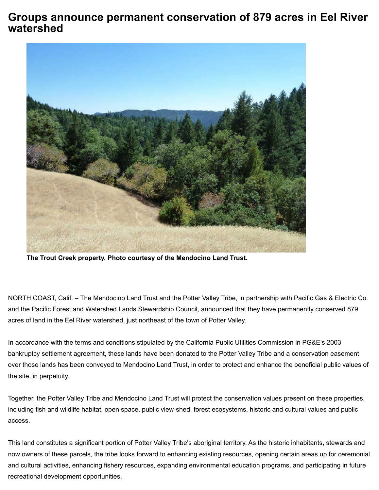## **Groups announce permanent conservation of 879 acres in Eel River watershed**



**The Trout Creek property. Photo courtesy of the Mendocino Land Trust.**

NORTH COAST, Calif. – The Mendocino Land Trust and the Potter Valley Tribe, in partnership with Pacific Gas & Electric Co. and the Pacific Forest and Watershed Lands Stewardship Council, announced that they have permanently conserved 879 acres of land in the Eel River watershed, just northeast of the town of Potter Valley.

In accordance with the terms and conditions stipulated by the California Public Utilities Commission in PG&E's 2003 bankruptcy settlement agreement, these lands have been donated to the Potter Valley Tribe and a conservation easement over those lands has been conveyed to Mendocino Land Trust, in order to protect and enhance the beneficial public values of the site, in perpetuity.

Together, the Potter Valley Tribe and Mendocino Land Trust will protect the conservation values present on these properties, including fish and wildlife habitat, open space, public view-shed, forest ecosystems, historic and cultural values and public access.

recreational development opportunities. The electronic entranet conservation-of-879-acres in-eel-river-watershed?tmpl=component watershed?tmpl=component watershed?tmpl=component watershed?tmpl=component watershed?tmpl=comp This land constitutes a significant portion of Potter Valley Tribe's aboriginal territory. As the historic inhabitants, stewards and now owners of these parcels, the tribe looks forward to enhancing existing resources, opening certain areas up for ceremonial and cultural activities, enhancing fishery resources, expanding environmental education programs, and participating in future